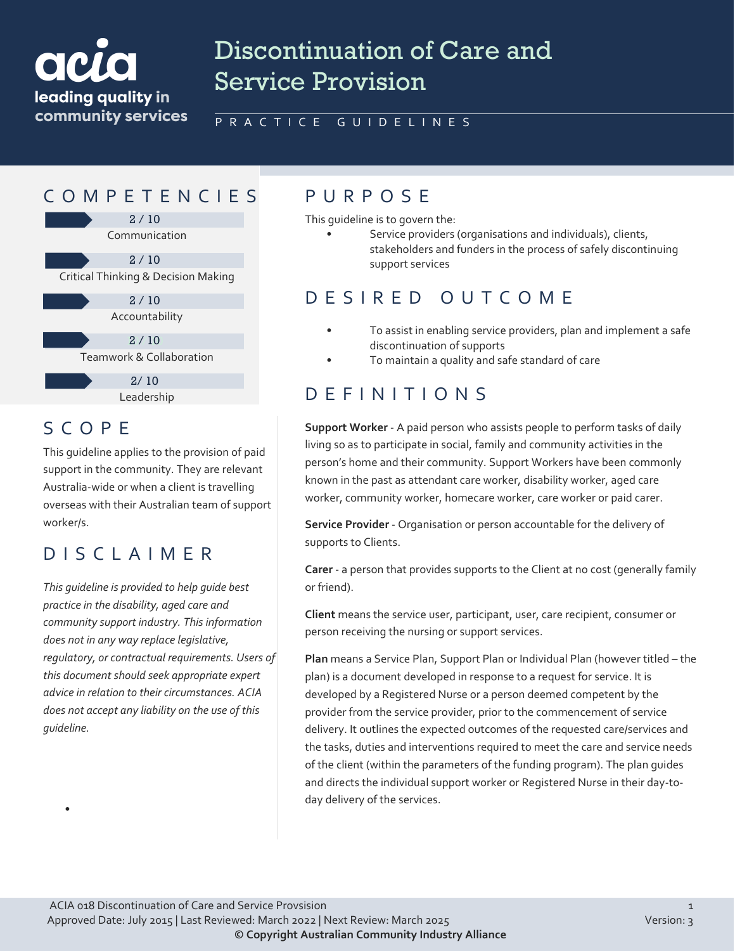

# Discontinuation of Care and Service Provision

### PRACTICE GUIDELINES

### COMPETENCIES PURPOS E

Communication 2 / 10 Critical Thinking & Decision Making 2 / 10 2 / 10

Accountability

Teamwork & Collaboration  $2 / 10$ 

> Leadership  $2/10$

## SCOPE

•

This guideline applies to the provision of paid support in the community. They are relevant Australia-wide or when a client is travelling overseas with their Australian team of support worker/s.

# DISCLAIMER

*This guideline is provided to help guide best practice in the disability, aged care and community support industry. This information does not in any way replace legislative, regulatory, or contractual requirements. Users of this document should seek appropriate expert advice in relation to their circumstances. ACIA does not accept any liability on the use of this guideline.*

This guideline is to govern the:

Service providers (organisations and individuals), clients, stakeholders and funders in the process of safely discontinuing support services

# DESIRED OUTCOME

- To assist in enabling service providers, plan and implement a safe discontinuation of supports
- To maintain a quality and safe standard of care

# DEFINITIONS

**Support Worker** - A paid person who assists people to perform tasks of daily living so as to participate in social, family and community activities in the person's home and their community. Support Workers have been commonly known in the past as attendant care worker, disability worker, aged care worker, community worker, homecare worker, care worker or paid carer.

**Service Provider** - Organisation or person accountable for the delivery of supports to Clients.

**Carer** - a person that provides supports to the Client at no cost (generally family or friend).

**Client** means the service user, participant, user, care recipient, consumer or person receiving the nursing or support services.

**Plan** means a Service Plan, Support Plan or Individual Plan (however titled – the plan) is a document developed in response to a request for service. It is developed by a Registered Nurse or a person deemed competent by the provider from the service provider, prior to the commencement of service delivery. It outlines the expected outcomes of the requested care/services and the tasks, duties and interventions required to meet the care and service needs of the client (within the parameters of the funding program). The plan guides and directs the individual support worker or Registered Nurse in their day-today delivery of the services.